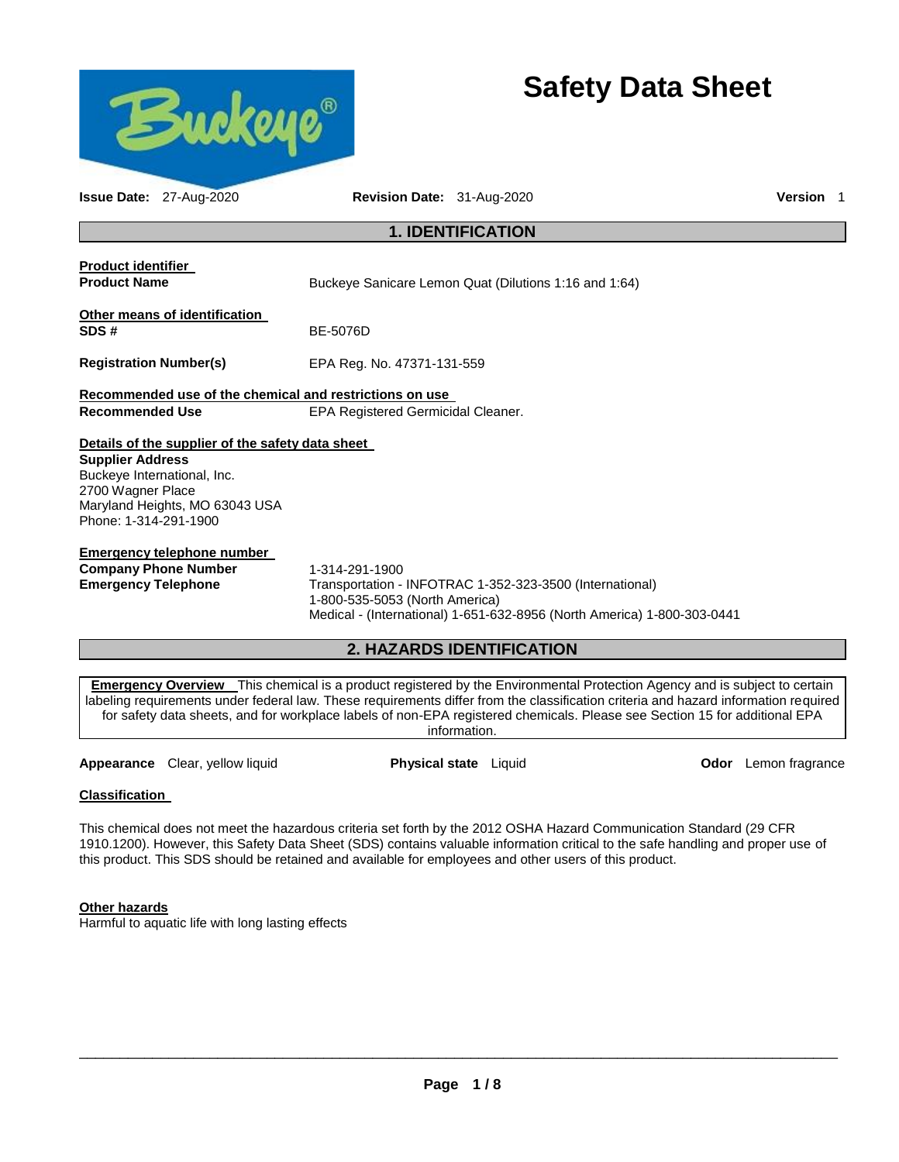

# **Safety Data Sheet**

| <b>Issue Date: 27-Aug-2020</b>                                                                                                                                                             | Revision Date: 31-Aug-2020                                                                                                                                                              | <b>Version</b> 1 |  |  |
|--------------------------------------------------------------------------------------------------------------------------------------------------------------------------------------------|-----------------------------------------------------------------------------------------------------------------------------------------------------------------------------------------|------------------|--|--|
| <b>1. IDENTIFICATION</b>                                                                                                                                                                   |                                                                                                                                                                                         |                  |  |  |
| <b>Product identifier</b><br><b>Product Name</b>                                                                                                                                           | Buckeye Sanicare Lemon Quat (Dilutions 1:16 and 1:64)                                                                                                                                   |                  |  |  |
| Other means of identification<br>SDS#                                                                                                                                                      | BE-5076D                                                                                                                                                                                |                  |  |  |
| <b>Registration Number(s)</b>                                                                                                                                                              | EPA Reg. No. 47371-131-559                                                                                                                                                              |                  |  |  |
| Recommended use of the chemical and restrictions on use                                                                                                                                    |                                                                                                                                                                                         |                  |  |  |
| <b>Recommended Use</b>                                                                                                                                                                     | EPA Registered Germicidal Cleaner.                                                                                                                                                      |                  |  |  |
| Details of the supplier of the safety data sheet<br><b>Supplier Address</b><br>Buckeye International, Inc.<br>2700 Wagner Place<br>Maryland Heights, MO 63043 USA<br>Phone: 1-314-291-1900 |                                                                                                                                                                                         |                  |  |  |
| <b>Emergency telephone number</b><br><b>Company Phone Number</b><br><b>Emergency Telephone</b>                                                                                             | 1-314-291-1900<br>Transportation - INFOTRAC 1-352-323-3500 (International)<br>1-800-535-5053 (North America)<br>Medical - (International) 1-651-632-8956 (North America) 1-800-303-0441 |                  |  |  |
|                                                                                                                                                                                            | 2. HAZARDS IDENTIFICATION                                                                                                                                                               |                  |  |  |
|                                                                                                                                                                                            | <b>Emergency Overview</b> This chemical is a product registered by the Environmental Protection Agency and is subject to certain                                                        |                  |  |  |

**mergency Overview** This chemical is a product registered by the Environmental Protection Agency and is subject to certain labeling requirements under federal law. These requirements differ from the classification criteria and hazard information required for safety data sheets, and for workplace labels of non-EPA registered chemicals. Please see Section 15 for additional EPA information.

**Appearance** Clear, yellow liquid **Physical state** Liquid **Odor** Lemon fragrance

# **Classification**

This chemical does not meet the hazardous criteria set forth by the 2012 OSHA Hazard Communication Standard (29 CFR 1910.1200). However, this Safety Data Sheet (SDS) contains valuable information critical to the safe handling and proper use of this product. This SDS should be retained and available for employees and other users of this product.

# **Other hazards**

Harmful to aquatic life with long lasting effects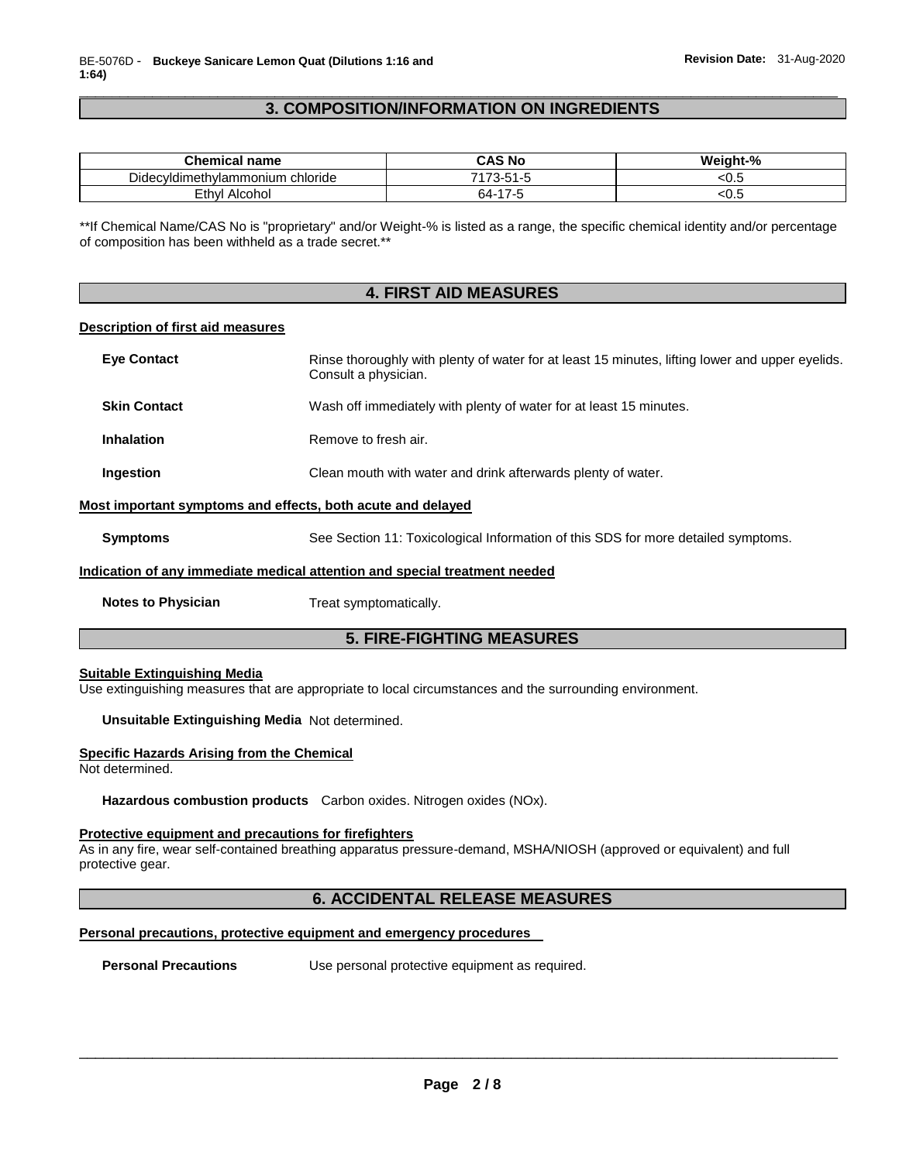# \_\_\_\_\_\_\_\_\_\_\_\_\_\_\_\_\_\_\_\_\_\_\_\_\_\_\_\_\_\_\_\_\_\_\_\_\_\_\_\_\_\_\_\_\_\_\_\_\_\_\_\_\_\_\_\_\_\_\_\_\_\_\_\_\_\_\_\_\_\_\_\_\_\_\_\_\_\_\_\_\_\_\_\_\_\_\_\_\_\_\_\_\_ **3. COMPOSITION/INFORMATION ON INGREDIENTS**

| <b>Chemical name</b>                | <b>CAS No</b>                             | Weight-% |
|-------------------------------------|-------------------------------------------|----------|
| chloride<br>Didecyldimethylammonium | 74<br>- ר<br>$\mathbf{r}$<br>ు చాౕ<br>1-0 | ະບ.ວ     |
| Ethvl<br>Alcohol                    | 64-1<br>$\overline{ }$<br>.               | .ບ.ບ     |

\*\*If Chemical Name/CAS No is "proprietary" and/or Weight-% is listed as a range, the specific chemical identity and/or percentage of composition has been withheld as a trade secret.\*\*

| <b>4. FIRST AID MEASURES</b>                                               |                                                                                                                         |  |  |
|----------------------------------------------------------------------------|-------------------------------------------------------------------------------------------------------------------------|--|--|
| Description of first aid measures                                          |                                                                                                                         |  |  |
| <b>Eye Contact</b>                                                         | Rinse thoroughly with plenty of water for at least 15 minutes, lifting lower and upper eyelids.<br>Consult a physician. |  |  |
| <b>Skin Contact</b>                                                        | Wash off immediately with plenty of water for at least 15 minutes.                                                      |  |  |
| <b>Inhalation</b>                                                          | Remove to fresh air.                                                                                                    |  |  |
| Ingestion                                                                  | Clean mouth with water and drink afterwards plenty of water.                                                            |  |  |
| Most important symptoms and effects, both acute and delayed                |                                                                                                                         |  |  |
| <b>Symptoms</b>                                                            | See Section 11: Toxicological Information of this SDS for more detailed symptoms.                                       |  |  |
| Indication of any immediate medical attention and special treatment needed |                                                                                                                         |  |  |
| <b>Notes to Physician</b>                                                  | Treat symptomatically.                                                                                                  |  |  |
|                                                                            | <b>5. FIRE-FIGHTING MEASURES</b>                                                                                        |  |  |
| <b>Suitable Extinguishing Media</b>                                        | Use extinguishing measures that are appropriate to local circumstances and the surrounding environment.                 |  |  |
| Unsuitable Extinguishing Media Not determined.                             |                                                                                                                         |  |  |
| <b>Specific Hazards Arising from the Chemical</b><br>Not determined.       |                                                                                                                         |  |  |
|                                                                            | Hazardous combustion products Carbon oxides. Nitrogen oxides (NOx).                                                     |  |  |
| Protective equipment and precautions for firefighters<br>protective gear.  | As in any fire, wear self-contained breathing apparatus pressure-demand, MSHA/NIOSH (approved or equivalent) and full   |  |  |
|                                                                            | <b>6. ACCIDENTAL RELEASE MEASURES</b>                                                                                   |  |  |
|                                                                            | Personal precautions, protective equipment and emergency procedures                                                     |  |  |
| <b>Personal Precautions</b>                                                | Use personal protective equipment as required.                                                                          |  |  |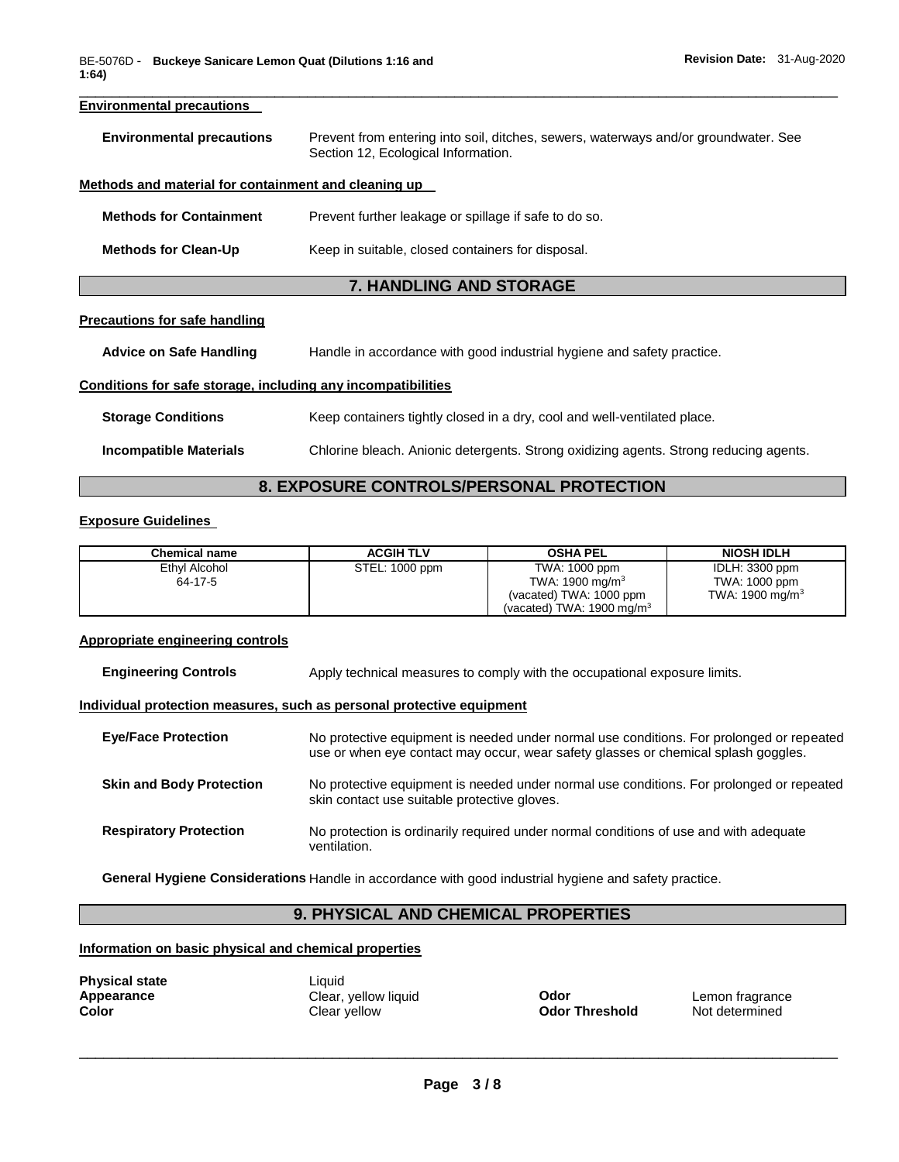# \_\_\_\_\_\_\_\_\_\_\_\_\_\_\_\_\_\_\_\_\_\_\_\_\_\_\_\_\_\_\_\_\_\_\_\_\_\_\_\_\_\_\_\_\_\_\_\_\_\_\_\_\_\_\_\_\_\_\_\_\_\_\_\_\_\_\_\_\_\_\_\_\_\_\_\_\_\_\_\_\_\_\_\_\_\_\_\_\_\_\_\_\_ **Environmental precautions Environmental precautions** Prevent from entering into soil, ditches, sewers, waterways and/or groundwater. See Section 12, Ecological Information. **Methods and material for containment and cleaning up Methods for Containment** Prevent further leakage or spillage if safe to do so. **Methods for Clean-Up Keep in suitable, closed containers for disposal. 7. HANDLING AND STORAGE**

# **Precautions for safe handling**

**Advice on Safe Handling** Handle in accordance with good industrial hygiene and safety practice.

# **Conditions for safe storage, including any incompatibilities**

| <b>Storage Conditions</b> | Keep containers tightly closed in a dry, cool and well-ventilated place.              |
|---------------------------|---------------------------------------------------------------------------------------|
| Incompatible Materials    | Chlorine bleach. Anionic detergents. Strong oxidizing agents. Strong reducing agents. |

# **8. EXPOSURE CONTROLS/PERSONAL PROTECTION**

# **Exposure Guidelines**

| <b>Chemical name</b> | <b>ACGIH TLV</b> | <b>OSHA PEL</b>                      | NIOSH IDLH         |
|----------------------|------------------|--------------------------------------|--------------------|
| Ethyl Alcohol        | STEL: 1000 ppm   | TWA: 1000 ppm                        | IDLH: 3300 ppm     |
| 64-17-5              |                  | TWA: 1900 mg/m $3$                   | TWA: 1000 ppm      |
|                      |                  | (vacated) TWA: 1000 ppm              | TWA: 1900 mg/m $3$ |
|                      |                  | (vacated) TWA: $1900 \text{ mg/m}^3$ |                    |

# **Appropriate engineering controls**

| <b>Engineering Controls</b> | Apply technical measures to comply with the occupational exposure limits. |
|-----------------------------|---------------------------------------------------------------------------|
|                             |                                                                           |

# **Individual protection measures, such as personal protective equipment**

| <b>Eye/Face Protection</b>      | No protective equipment is needed under normal use conditions. For prolonged or repeated<br>use or when eye contact may occur, wear safety glasses or chemical splash goggles. |
|---------------------------------|--------------------------------------------------------------------------------------------------------------------------------------------------------------------------------|
| <b>Skin and Body Protection</b> | No protective equipment is needed under normal use conditions. For prolonged or repeated<br>skin contact use suitable protective gloves.                                       |
| <b>Respiratory Protection</b>   | No protection is ordinarily required under normal conditions of use and with adequate<br>ventilation.                                                                          |

**General Hygiene Considerations** Handle in accordance with good industrial hygiene and safety practice.

# **9. PHYSICAL AND CHEMICAL PROPERTIES**

# **Information on basic physical and chemical properties**

| <b>Physical state</b> |  |
|-----------------------|--|
| Appearance            |  |
| Color                 |  |

Liquid **Appearance** Clear, yellow liquid **Odor** Lemon fragrance **Color** Clear yellow **Odor Threshold** Not determined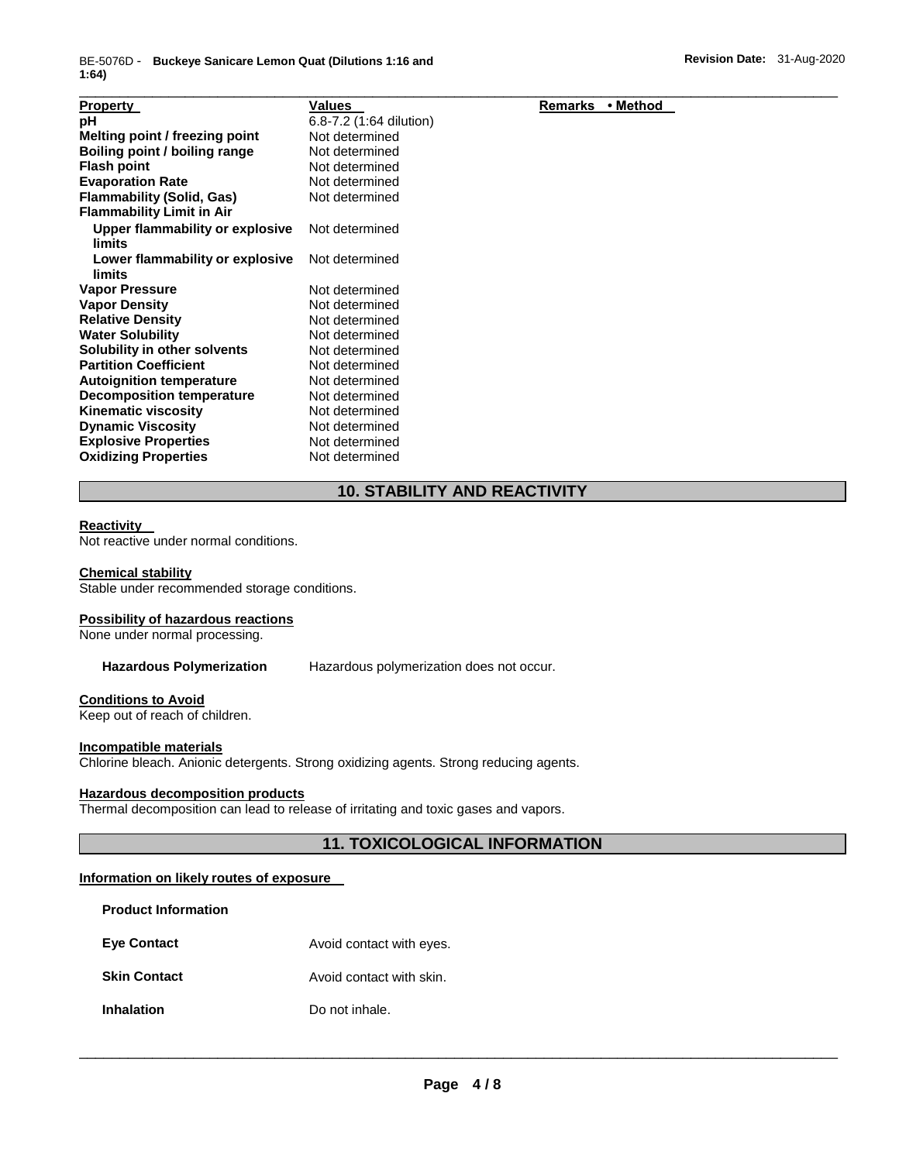| <b>Property</b>                  | <b>Values</b>           | Remarks<br>• Method |
|----------------------------------|-------------------------|---------------------|
| рH                               | 6.8-7.2 (1:64 dilution) |                     |
| Melting point / freezing point   | Not determined          |                     |
| Boiling point / boiling range    | Not determined          |                     |
| <b>Flash point</b>               | Not determined          |                     |
| <b>Evaporation Rate</b>          | Not determined          |                     |
| <b>Flammability (Solid, Gas)</b> | Not determined          |                     |
| <b>Flammability Limit in Air</b> |                         |                     |
| Upper flammability or explosive  | Not determined          |                     |
| limits                           |                         |                     |
| Lower flammability or explosive  | Not determined          |                     |
| limits                           |                         |                     |
| <b>Vapor Pressure</b>            | Not determined          |                     |
| <b>Vapor Density</b>             | Not determined          |                     |
| <b>Relative Density</b>          | Not determined          |                     |
| <b>Water Solubility</b>          | Not determined          |                     |
| Solubility in other solvents     | Not determined          |                     |
| <b>Partition Coefficient</b>     | Not determined          |                     |
| <b>Autoignition temperature</b>  | Not determined          |                     |
| <b>Decomposition temperature</b> | Not determined          |                     |
| <b>Kinematic viscosity</b>       | Not determined          |                     |
| <b>Dynamic Viscosity</b>         | Not determined          |                     |
| <b>Explosive Properties</b>      | Not determined          |                     |
| <b>Oxidizing Properties</b>      | Not determined          |                     |

# **10. STABILITY AND REACTIVITY**

#### **Reactivity**

Not reactive under normal conditions.

#### **Chemical stability**

Stable under recommended storage conditions.

#### **Possibility of hazardous reactions**

None under normal processing.

**Hazardous Polymerization** Hazardous polymerization does not occur.

#### **Conditions to Avoid**

Keep out of reach of children.

#### **Incompatible materials**

Chlorine bleach. Anionic detergents. Strong oxidizing agents. Strong reducing agents.

# **Hazardous decomposition products**

Thermal decomposition can lead to release of irritating and toxic gases and vapors.

# **11. TOXICOLOGICAL INFORMATION**

# **Information on likely routes of exposure**

| <b>Product Information</b> |                          |
|----------------------------|--------------------------|
| <b>Eve Contact</b>         | Avoid contact with eyes. |
| <b>Skin Contact</b>        | Avoid contact with skin. |
| <b>Inhalation</b>          | Do not inhale.           |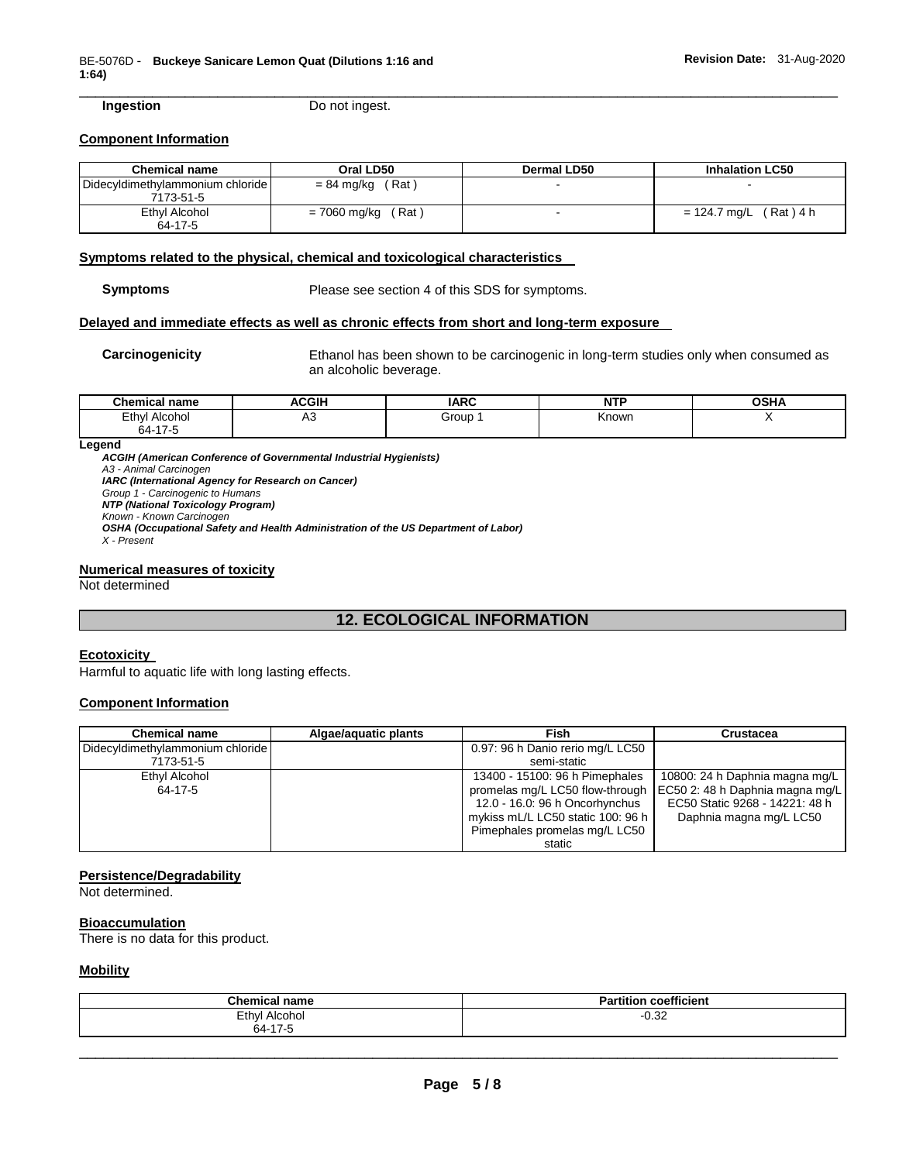**Ingestion Do not ingest.** 

### **Component Information**

| <b>Chemical name</b>                          | Oral LD50             | Dermal LD50 | <b>Inhalation LC50</b>   |
|-----------------------------------------------|-----------------------|-------------|--------------------------|
| Didecyldimethylammonium chloride<br>7173-51-5 | $= 84$ mg/kg (Rat)    |             |                          |
| Ethyl Alcohol<br>64-17-5                      | = 7060 mg/kg<br>(Rat) |             | $= 124.7$ mg/L (Rat) 4 h |

\_\_\_\_\_\_\_\_\_\_\_\_\_\_\_\_\_\_\_\_\_\_\_\_\_\_\_\_\_\_\_\_\_\_\_\_\_\_\_\_\_\_\_\_\_\_\_\_\_\_\_\_\_\_\_\_\_\_\_\_\_\_\_\_\_\_\_\_\_\_\_\_\_\_\_\_\_\_\_\_\_\_\_\_\_\_\_\_\_\_\_\_\_

# **Symptoms related to the physical, chemical and toxicological characteristics**

**Symptoms** Please see section 4 of this SDS for symptoms.

# **Delayed and immediate effects as well as chronic effects from short and long-term exposure**

**Carcinogenicity** Ethanol has been shown to be carcinogenic in long-term studies only when consumed as an alcoholic beverage.

| Chemical<br>name       | <b>ACGIF</b> | <b>IARC</b> | <b>Support College</b><br>N.<br>. | <b>OCU</b><br>ּ יחסי |
|------------------------|--------------|-------------|-----------------------------------|----------------------|
| Ethyl<br>Alcohol       | nu           | Group       | Known                             |                      |
| 0.4.47.7<br>nд-<br>٠., |              |             |                                   |                      |

**Legend** 

*ACGIH (American Conference of Governmental Industrial Hygienists) A3 - Animal Carcinogen IARC (International Agency for Research on Cancer) Group 1 - Carcinogenic to Humans NTP (National Toxicology Program) Known - Known Carcinogen OSHA (Occupational Safety and Health Administration of the US Department of Labor)*

*X - Present* 

#### **Numerical measures of toxicity**

Not determined

# **12. ECOLOGICAL INFORMATION**

# **Ecotoxicity**

Harmful to aquatic life with long lasting effects.

# **Component Information**

| <b>Chemical name</b>             | Algae/aquatic plants | Fish                              | Crustacea                                                         |
|----------------------------------|----------------------|-----------------------------------|-------------------------------------------------------------------|
| Didecyldimethylammonium chloride |                      | 0.97: 96 h Danio rerio mg/L LC50  |                                                                   |
| 7173-51-5                        |                      | semi-static                       |                                                                   |
| Ethyl Alcohol                    |                      | 13400 - 15100: 96 h Pimephales    | 10800: 24 h Daphnia magna mg/L                                    |
| 64-17-5                          |                      |                                   | promelas mg/L LC50 flow-through   EC50 2: 48 h Daphnia magna mg/L |
|                                  |                      | 12.0 - 16.0: 96 h Oncorhynchus    | EC50 Static 9268 - 14221: 48 h                                    |
|                                  |                      | mykiss mL/L LC50 static 100: 96 h | Daphnia magna mg/L LC50                                           |
|                                  |                      | Pimephales promelas mg/L LC50     |                                                                   |
|                                  |                      | static                            |                                                                   |

#### **Persistence/Degradability**

Not determined.

# **Bioaccumulation**

There is no data for this product.

# **Mobility**

| $R_{\rm max}$<br><br>паше                               | $- - -$<br>coefficient<br>artitiol |
|---------------------------------------------------------|------------------------------------|
| Ethyl<br>Alcohol<br>$-$<br>.                            | $\sim$<br>∪.∍∠                     |
| $\rightarrow$ $\rightarrow$ $\rightarrow$<br><b>64.</b> |                                    |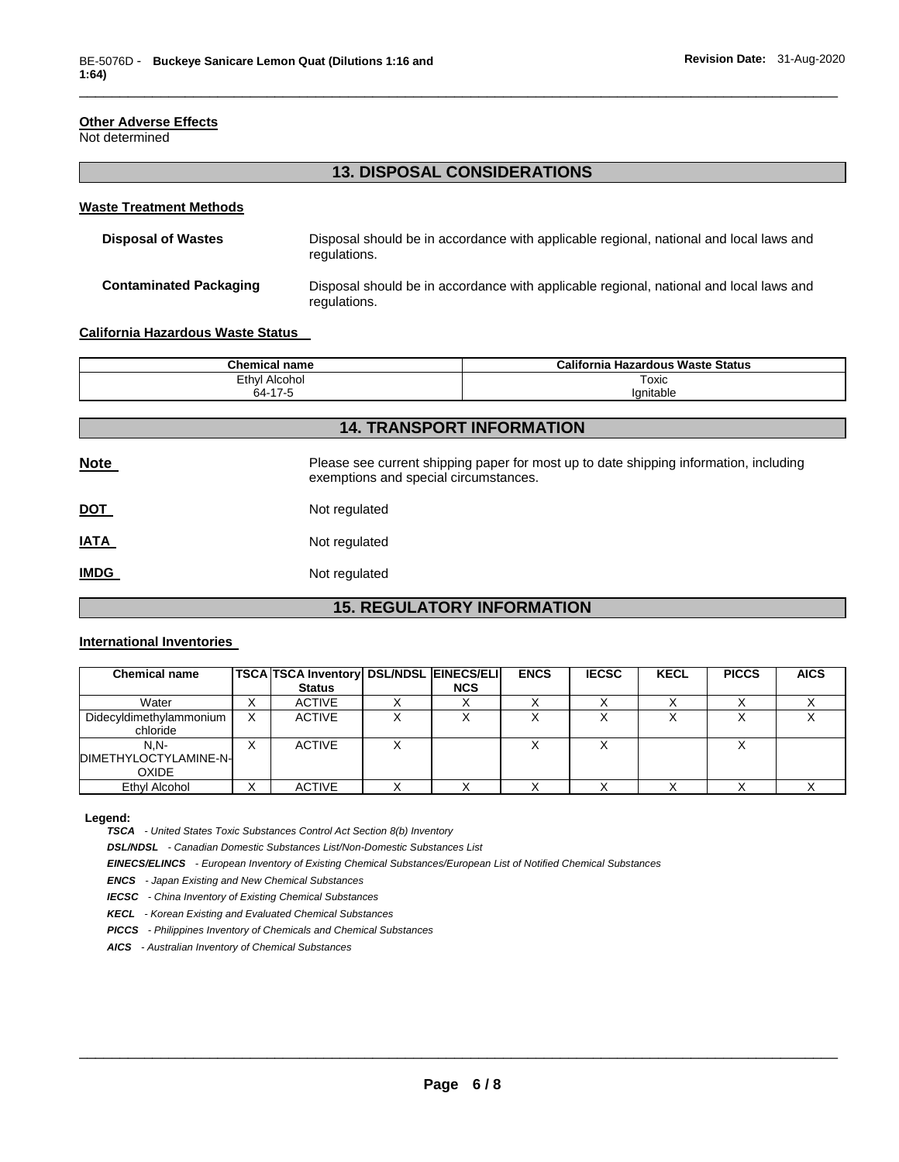# **Other Adverse Effects**

Not determined

# **13. DISPOSAL CONSIDERATIONS**

\_\_\_\_\_\_\_\_\_\_\_\_\_\_\_\_\_\_\_\_\_\_\_\_\_\_\_\_\_\_\_\_\_\_\_\_\_\_\_\_\_\_\_\_\_\_\_\_\_\_\_\_\_\_\_\_\_\_\_\_\_\_\_\_\_\_\_\_\_\_\_\_\_\_\_\_\_\_\_\_\_\_\_\_\_\_\_\_\_\_\_\_\_

# **Waste Treatment Methods**

| <b>Disposal of Wastes</b>     | Disposal should be in accordance with applicable regional, national and local laws and<br>regulations. |
|-------------------------------|--------------------------------------------------------------------------------------------------------|
| <b>Contaminated Packaging</b> | Disposal should be in accordance with applicable regional, national and local laws and<br>regulations. |

#### **California Hazardous Waste Status**

| Chemical<br>name                  | California<br><b>Hazardous Waste Status</b> |
|-----------------------------------|---------------------------------------------|
| Ethyl<br>Alcohol<br>$\sim$ $\sim$ | <b>LOXIC</b>                                |
| 47 <sup>o</sup><br>ີ<br>64-<br>.  | lanitable                                   |

| <b>14. TRANSPORT INFORMATION</b> |                                                                                                                                |  |  |  |
|----------------------------------|--------------------------------------------------------------------------------------------------------------------------------|--|--|--|
| <b>Note</b>                      | Please see current shipping paper for most up to date shipping information, including<br>exemptions and special circumstances. |  |  |  |
| <u>DOT</u>                       | Not regulated                                                                                                                  |  |  |  |
| <b>IATA</b>                      | Not regulated                                                                                                                  |  |  |  |
| <b>IMDG</b>                      | Not regulated                                                                                                                  |  |  |  |

# **15. REGULATORY INFORMATION**

## **International Inventories**

| <b>Chemical name</b>                     |   | <b>TSCA TSCA Inventory DSL/NDSL EINECS/ELI</b><br><b>Status</b> | <b>NCS</b> | <b>ENCS</b> | <b>IECSC</b> | <b>KECL</b> | <b>PICCS</b> | <b>AICS</b> |
|------------------------------------------|---|-----------------------------------------------------------------|------------|-------------|--------------|-------------|--------------|-------------|
| Water                                    | ⌒ | <b>ACTIVE</b>                                                   |            |             |              |             |              |             |
| Didecyldimethylammonium<br>chloride      | x | <b>ACTIVE</b>                                                   |            |             |              |             |              |             |
| $N.N-$<br>DIMETHYLOCTYLAMINE-N-<br>OXIDE | v | <b>ACTIVE</b>                                                   |            |             |              |             |              |             |
| Ethyl Alcohol                            | v | <b>ACTIVE</b>                                                   |            |             |              |             |              |             |

**Legend:** 

*TSCA - United States Toxic Substances Control Act Section 8(b) Inventory* 

*DSL/NDSL - Canadian Domestic Substances List/Non-Domestic Substances List* 

*EINECS/ELINCS - European Inventory of Existing Chemical Substances/European List of Notified Chemical Substances* 

*ENCS - Japan Existing and New Chemical Substances* 

*IECSC - China Inventory of Existing Chemical Substances* 

*KECL - Korean Existing and Evaluated Chemical Substances* 

*PICCS - Philippines Inventory of Chemicals and Chemical Substances* 

*AICS - Australian Inventory of Chemical Substances*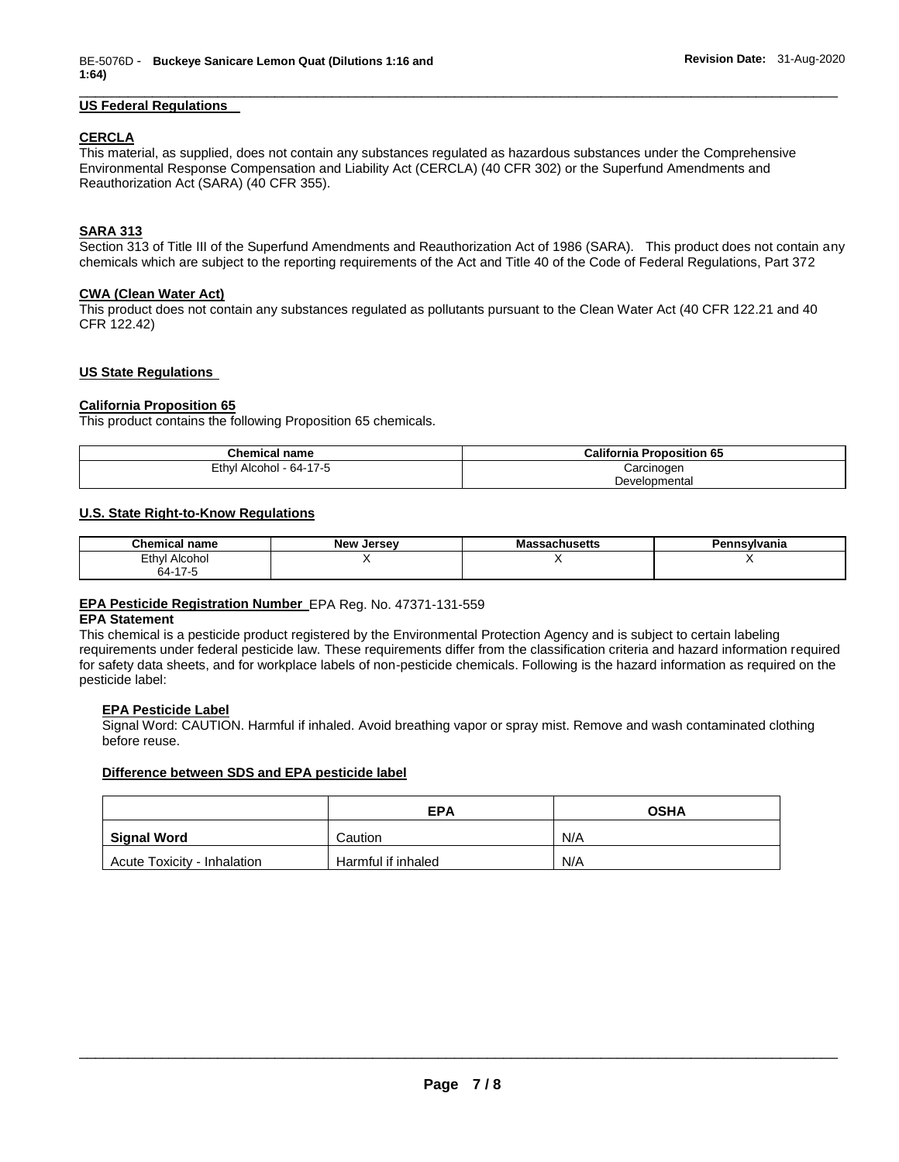# \_\_\_\_\_\_\_\_\_\_\_\_\_\_\_\_\_\_\_\_\_\_\_\_\_\_\_\_\_\_\_\_\_\_\_\_\_\_\_\_\_\_\_\_\_\_\_\_\_\_\_\_\_\_\_\_\_\_\_\_\_\_\_\_\_\_\_\_\_\_\_\_\_\_\_\_\_\_\_\_\_\_\_\_\_\_\_\_\_\_\_\_\_ **US Federal Regulations**

# **CERCLA**

This material, as supplied, does not contain any substances regulated as hazardous substances under the Comprehensive Environmental Response Compensation and Liability Act (CERCLA) (40 CFR 302) or the Superfund Amendments and Reauthorization Act (SARA) (40 CFR 355).

# **SARA 313**

Section 313 of Title III of the Superfund Amendments and Reauthorization Act of 1986 (SARA). This product does not contain any chemicals which are subject to the reporting requirements of the Act and Title 40 of the Code of Federal Regulations, Part 372

# **CWA (Clean Water Act)**

This product does not contain any substances regulated as pollutants pursuant to the Clean Water Act (40 CFR 122.21 and 40 CFR 122.42)

# **US State Regulations**

## **California Proposition 65**

This product contains the following Proposition 65 chemicals.

| <b>Chemical name</b>    | <b>California Proposition 65</b> |
|-------------------------|----------------------------------|
| Ethyl Alcohol - 64-17-5 | Carcinoɑen                       |
|                         | Developmental                    |

# **U.S. State Right-to-Know Regulations**

| <b>Chemical name</b> | <b>New Jersey</b> | <b>Massachusetts</b> | Pennsvlvania |
|----------------------|-------------------|----------------------|--------------|
| Ethyl<br>Alcohol     |                   |                      |              |
| 64-17-5<br>$\sim$    |                   |                      |              |

# **EPA Pesticide Registration Number** EPA Reg. No. 47371-131-559

#### **EPA Statement**

This chemical is a pesticide product registered by the Environmental Protection Agency and is subject to certain labeling requirements under federal pesticide law. These requirements differ from the classification criteria and hazard information required for safety data sheets, and for workplace labels of non-pesticide chemicals. Following is the hazard information as required on the pesticide label:

# **EPA Pesticide Label**

Signal Word: CAUTION. Harmful if inhaled. Avoid breathing vapor or spray mist. Remove and wash contaminated clothing before reuse.

# **Difference between SDS and EPA pesticide label**

|                             | <b>EPA</b>         | <b>OSHA</b> |
|-----------------------------|--------------------|-------------|
| Signal Word                 | Caution            | N/A         |
| Acute Toxicity - Inhalation | Harmful if inhaled | N/A         |